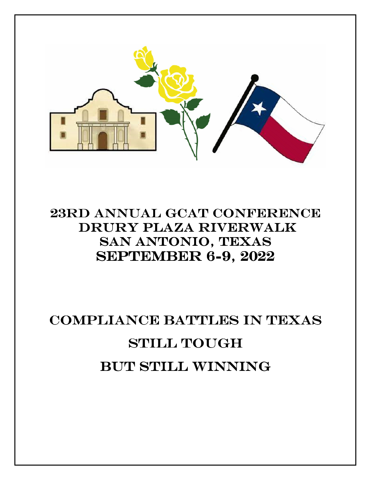

## 23RD ANNUAL GCAT CONFERENCE Drury Plaza Riverwalk Drury Plaza Riverwalk San Antonio, Texas **SEPTEMBER 6-9, 2022**

## Compliance Battles In Texas Still Tough But still winning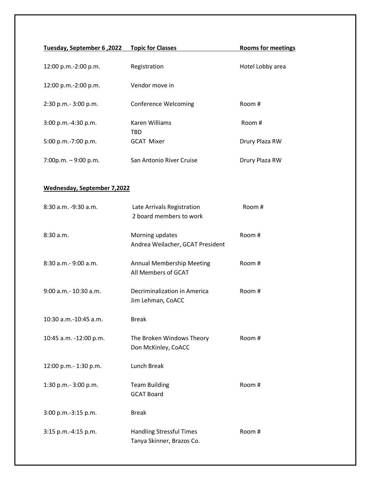| Tuesday, September 6, 2022         | <b>Topic for Classes</b>                                | <b>Rooms for meetings</b> |  |  |
|------------------------------------|---------------------------------------------------------|---------------------------|--|--|
| 12:00 p.m.-2:00 p.m.               | Registration                                            | Hotel Lobby area          |  |  |
| 12:00 p.m.-2:00 p.m.               | Vendor move in                                          |                           |  |  |
| 2:30 p.m.- 3:00 p.m.               | <b>Conference Welcoming</b>                             | Room #                    |  |  |
| 3:00 p.m.-4:30 p.m.                | <b>Karen Williams</b><br><b>TBD</b>                     | Room #                    |  |  |
| 5:00 p.m.-7:00 p.m.                | <b>GCAT Mixer</b>                                       | Drury Plaza RW            |  |  |
| $7:00p.m. - 9:00 p.m.$             | San Antonio River Cruise                                | Drury Plaza RW            |  |  |
| <b>Wednesday, September 7,2022</b> |                                                         |                           |  |  |
| 8:30 a.m. -9:30 a.m.               | Late Arrivals Registration<br>2 board members to work   | Room #                    |  |  |
| 8:30 a.m.                          | Morning updates<br>Andrea Weilacher, GCAT President     | Room #                    |  |  |
| $8:30$ a.m. $-9:00$ a.m.           | <b>Annual Membership Meeting</b><br>All Members of GCAT | Room #                    |  |  |
| 9:00 a.m. - 10:30 a.m.             | Decriminalization in America<br>Jim Lehman, CoACC       | Room #                    |  |  |

10:30 a.m.-10:45 a.m. Break

| 10:45 a.m. -12:00 p.m. | The Broken Windows Theory<br>Don McKinley, CoACC | Room # |
|------------------------|--------------------------------------------------|--------|
| 12:00 p.m.- 1:30 p.m.  | Lunch Break                                      |        |

1:30 p.m.- 3:00 p.m. Team Building Room # GCAT Board 3:00 p.m.-3:15 p.m. Break 3:15 p.m.-4:15 p.m. Handling Stressful Times Room # Tanya Skinner, Brazos Co.